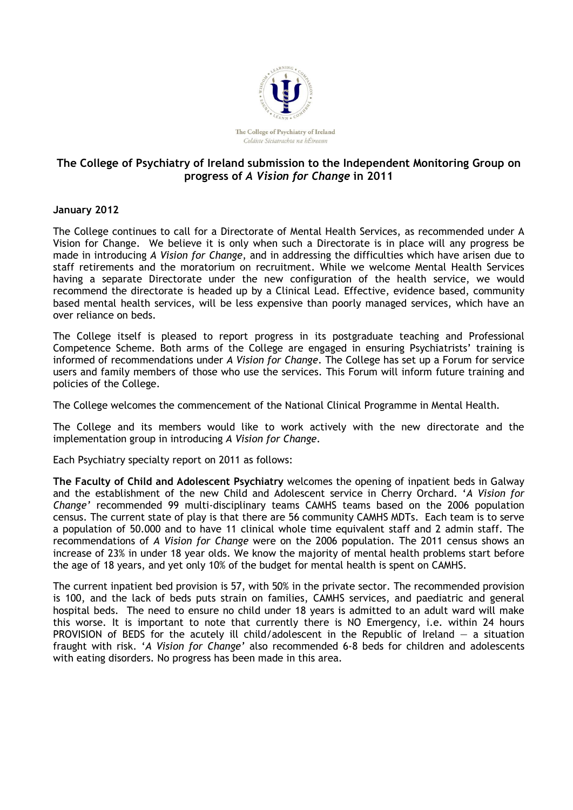

## **The College of Psychiatry of Ireland submission to the Independent Monitoring Group on progress of** *A Vision for Change* **in 2011**

## **January 2012**

The College continues to call for a Directorate of Mental Health Services, as recommended under A Vision for Change. We believe it is only when such a Directorate is in place will any progress be made in introducing *A Vision for Change*, and in addressing the difficulties which have arisen due to staff retirements and the moratorium on recruitment. While we welcome Mental Health Services having a separate Directorate under the new configuration of the health service, we would recommend the directorate is headed up by a Clinical Lead. Effective, evidence based, community based mental health services, will be less expensive than poorly managed services, which have an over reliance on beds.

The College itself is pleased to report progress in its postgraduate teaching and Professional Competence Scheme. Both arms of the College are engaged in ensuring Psychiatrists' training is informed of recommendations under *A Vision for Change*. The College has set up a Forum for service users and family members of those who use the services. This Forum will inform future training and policies of the College.

The College welcomes the commencement of the National Clinical Programme in Mental Health.

The College and its members would like to work actively with the new directorate and the implementation group in introducing *A Vision for Change*.

Each Psychiatry specialty report on 2011 as follows:

**The Faculty of Child and Adolescent Psychiatry** welcomes the opening of inpatient beds in Galway and the establishment of the new Child and Adolescent service in Cherry Orchard. '*A Vision for Change'* recommended 99 multi-disciplinary teams CAMHS teams based on the 2006 population census. The current state of play is that there are 56 community CAMHS MDTs. Each team is to serve a population of 50.000 and to have 11 clinical whole time equivalent staff and 2 admin staff. The recommendations of *A Vision for Change* were on the 2006 population. The 2011 census shows an increase of 23% in under 18 year olds. We know the majority of mental health problems start before the age of 18 years, and yet only 10% of the budget for mental health is spent on CAMHS.

The current inpatient bed provision is 57, with 50% in the private sector. The recommended provision is 100, and the lack of beds puts strain on families, CAMHS services, and paediatric and general hospital beds. The need to ensure no child under 18 years is admitted to an adult ward will make this worse. It is important to note that currently there is NO Emergency, i.e. within 24 hours PROVISION of BEDS for the acutely ill child/adolescent in the Republic of Ireland  $-$  a situation fraught with risk. '*A Vision for Change'* also recommended 6-8 beds for children and adolescents with eating disorders. No progress has been made in this area.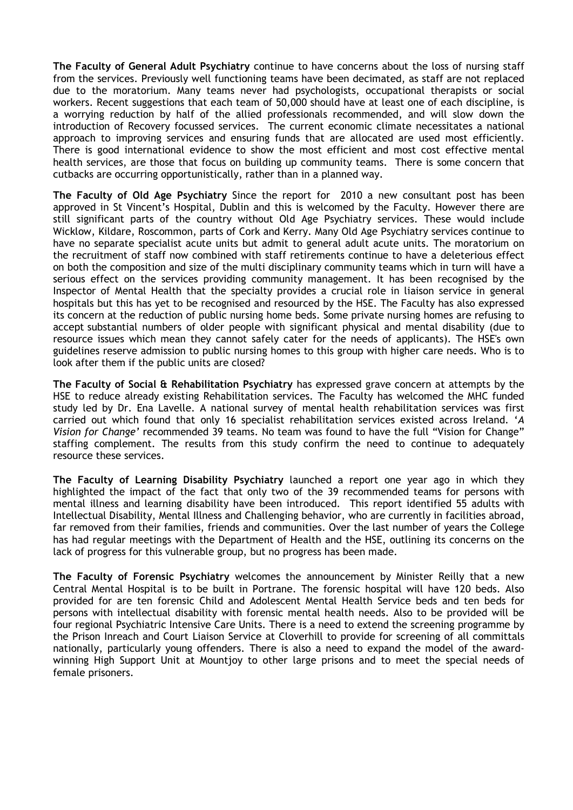**The Faculty of General Adult Psychiatry** continue to have concerns about the loss of nursing staff from the services. Previously well functioning teams have been decimated, as staff are not replaced due to the moratorium. Many teams never had psychologists, occupational therapists or social workers. Recent suggestions that each team of 50,000 should have at least one of each discipline, is a worrying reduction by half of the allied professionals recommended, and will slow down the introduction of Recovery focussed services. The current economic climate necessitates a national approach to improving services and ensuring funds that are allocated are used most efficiently. There is good international evidence to show the most efficient and most cost effective mental health services, are those that focus on building up community teams. There is some concern that cutbacks are occurring opportunistically, rather than in a planned way.

**The Faculty of Old Age Psychiatry** Since the report for 2010 a new consultant post has been approved in St Vincent's Hospital, Dublin and this is welcomed by the Faculty. However there are still significant parts of the country without Old Age Psychiatry services. These would include Wicklow, Kildare, Roscommon, parts of Cork and Kerry. Many Old Age Psychiatry services continue to have no separate specialist acute units but admit to general adult acute units. The moratorium on the recruitment of staff now combined with staff retirements continue to have a deleterious effect on both the composition and size of the multi disciplinary community teams which in turn will have a serious effect on the services providing community management. It has been recognised by the Inspector of Mental Health that the specialty provides a crucial role in liaison service in general hospitals but this has yet to be recognised and resourced by the HSE. The Faculty has also expressed its concern at the reduction of public nursing home beds. Some private nursing homes are refusing to accept substantial numbers of older people with significant physical and mental disability (due to resource issues which mean they cannot safely cater for the needs of applicants). The HSE's own guidelines reserve admission to public nursing homes to this group with higher care needs. Who is to look after them if the public units are closed?

**The Faculty of Social & Rehabilitation Psychiatry** has expressed grave concern at attempts by the HSE to reduce already existing Rehabilitation services. The Faculty has welcomed the MHC funded study led by Dr. Ena Lavelle. A national survey of mental health rehabilitation services was first carried out which found that only 16 specialist rehabilitation services existed across Ireland. '*A Vision for Change'* recommended 39 teams. No team was found to have the full "Vision for Change" staffing complement. The results from this study confirm the need to continue to adequately resource these services.

**The Faculty of Learning Disability Psychiatry** launched a report one year ago in which they highlighted the impact of the fact that only two of the 39 recommended teams for persons with mental illness and learning disability have been introduced. This report identified 55 adults with Intellectual Disability, Mental Illness and Challenging behavior, who are currently in facilities abroad, far removed from their families, friends and communities. Over the last number of years the College has had regular meetings with the Department of Health and the HSE, outlining its concerns on the lack of progress for this vulnerable group, but no progress has been made.

**The Faculty of Forensic Psychiatry** welcomes the announcement by Minister Reilly that a new Central Mental Hospital is to be built in Portrane. The forensic hospital will have 120 beds. Also provided for are ten forensic Child and Adolescent Mental Health Service beds and ten beds for persons with intellectual disability with forensic mental health needs. Also to be provided will be four regional Psychiatric Intensive Care Units. There is a need to extend the screening programme by the Prison Inreach and Court Liaison Service at Cloverhill to provide for screening of all committals nationally, particularly young offenders. There is also a need to expand the model of the awardwinning High Support Unit at Mountjoy to other large prisons and to meet the special needs of female prisoners.